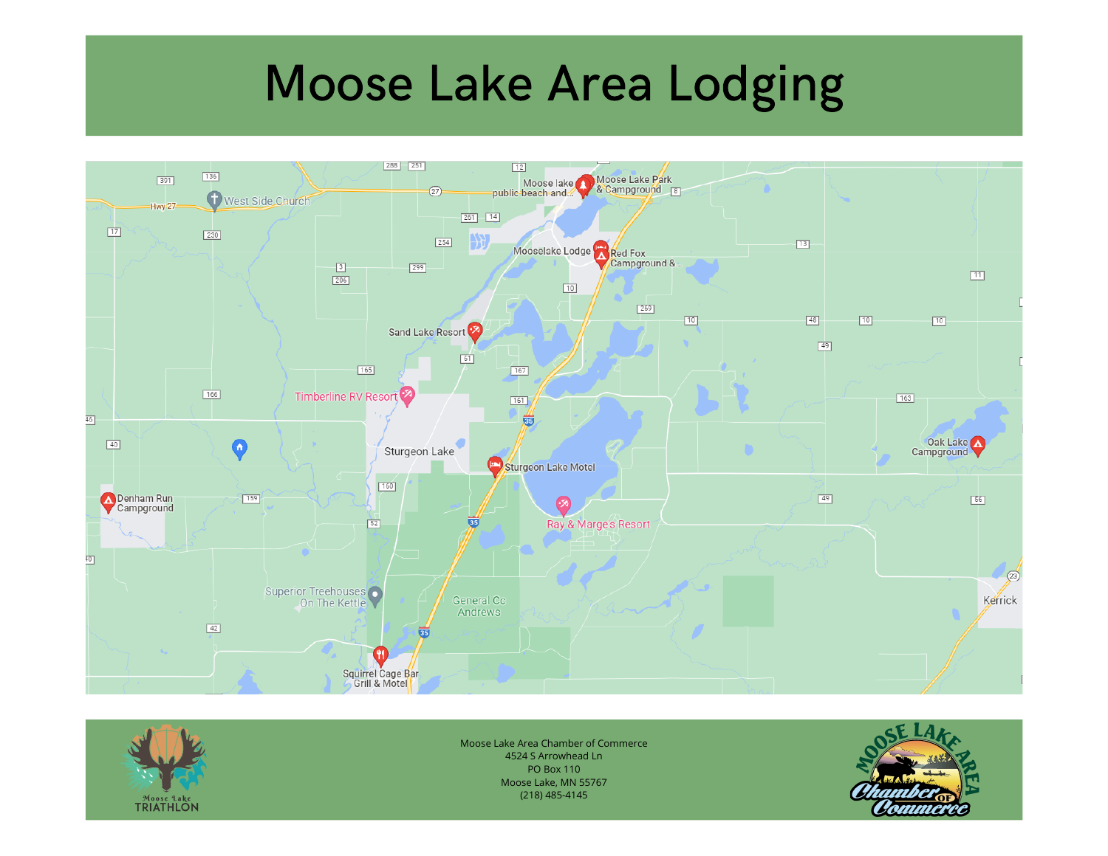# Moose Lake Area Lodging





Moose Lake Area Chamber of Commerce 4524 S Arrowhead Ln PO Box 110 Moose Lake, MN 55767 (218) 485-4145